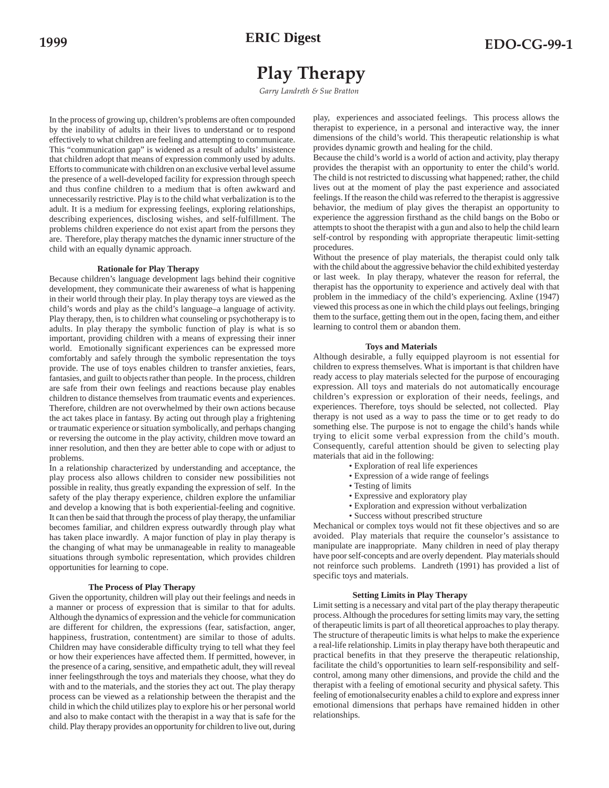# **Play Therapy**

*Garry Landreth & Sue Bratton*

In the process of growing up, children's problems are often compounded by the inability of adults in their lives to understand or to respond effectively to what children are feeling and attempting to communicate. This "communication gap" is widened as a result of adults' insistence that children adopt that means of expression commonly used by adults. Efforts to communicate with children on an exclusive verbal level assume the presence of a well-developed facility for expression through speech and thus confine children to a medium that is often awkward and unnecessarily restrictive. Play is to the child what verbalization is to the adult. It is a medium for expressing feelings, exploring relationships, describing experiences, disclosing wishes, and self-fulfillment. The problems children experience do not exist apart from the persons they are. Therefore, play therapy matches the dynamic inner structure of the child with an equally dynamic approach.

## **Rationale for Play Therapy**

Because children's language development lags behind their cognitive development, they communicate their awareness of what is happening in their world through their play. In play therapy toys are viewed as the child's words and play as the child's language–a language of activity. Play therapy, then, is to children what counseling or psychotherapy is to adults. In play therapy the symbolic function of play is what is so important, providing children with a means of expressing their inner world. Emotionally significant experiences can be expressed more comfortably and safely through the symbolic representation the toys provide. The use of toys enables children to transfer anxieties, fears, fantasies, and guilt to objects rather than people. In the process, children are safe from their own feelings and reactions because play enables children to distance themselves from traumatic events and experiences. Therefore, children are not overwhelmed by their own actions because the act takes place in fantasy. By acting out through play a frightening or traumatic experience or situation symbolically, and perhaps changing or reversing the outcome in the play activity, children move toward an inner resolution, and then they are better able to cope with or adjust to problems.

In a relationship characterized by understanding and acceptance, the play process also allows children to consider new possibilities not possible in reality, thus greatly expanding the expression of self. In the safety of the play therapy experience, children explore the unfamiliar and develop a knowing that is both experiential-feeling and cognitive. It can then be said that through the process of play therapy, the unfamiliar becomes familiar, and children express outwardly through play what has taken place inwardly. A major function of play in play therapy is the changing of what may be unmanageable in reality to manageable situations through symbolic representation, which provides children opportunities for learning to cope.

## **The Process of Play Therapy**

Given the opportunity, children will play out their feelings and needs in a manner or process of expression that is similar to that for adults. Although the dynamics of expression and the vehicle for communication are different for children, the expressions (fear, satisfaction, anger, happiness, frustration, contentment) are similar to those of adults. Children may have considerable difficulty trying to tell what they feel or how their experiences have affected them. If permitted, however, in the presence of a caring, sensitive, and empathetic adult, they will reveal inner feelingsthrough the toys and materials they choose, what they do with and to the materials, and the stories they act out. The play therapy process can be viewed as a relationship between the therapist and the child in which the child utilizes play to explore his or her personal world and also to make contact with the therapist in a way that is safe for the child. Play therapy provides an opportunity for children to live out, during play, experiences and associated feelings. This process allows the therapist to experience, in a personal and interactive way, the inner dimensions of the child's world. This therapeutic relationship is what provides dynamic growth and healing for the child.

Because the child's world is a world of action and activity, play therapy provides the therapist with an opportunity to enter the child's world. The child is not restricted to discussing what happened; rather, the child lives out at the moment of play the past experience and associated feelings. If the reason the child was referred to the therapist is aggressive behavior, the medium of play gives the therapist an opportunity to experience the aggression firsthand as the child bangs on the Bobo or attempts to shoot the therapist with a gun and also to help the child learn self-control by responding with appropriate therapeutic limit-setting procedures.

Without the presence of play materials, the therapist could only talk with the child about the aggressive behavior the child exhibited yesterday or last week. In play therapy, whatever the reason for referral, the therapist has the opportunity to experience and actively deal with that problem in the immediacy of the child's experiencing. Axline (1947) viewed this process as one in which the child plays out feelings, bringing them to the surface, getting them out in the open, facing them, and either learning to control them or abandon them.

## **Toys and Materials**

Although desirable, a fully equipped playroom is not essential for children to express themselves. What is important is that children have ready access to play materials selected for the purpose of encouraging expression. All toys and materials do not automatically encourage children's expression or exploration of their needs, feelings, and experiences. Therefore, toys should be selected, not collected. Play therapy is not used as a way to pass the time or to get ready to do something else. The purpose is not to engage the child's hands while trying to elicit some verbal expression from the child's mouth. Consequently, careful attention should be given to selecting play materials that aid in the following:

- Exploration of real life experiences
- Expression of a wide range of feelings
- Testing of limits
- Expressive and exploratory play
- Exploration and expression without verbalization
- Success without prescribed structure

Mechanical or complex toys would not fit these objectives and so are avoided. Play materials that require the counselor's assistance to manipulate are inappropriate. Many children in need of play therapy have poor self-concepts and are overly dependent. Play materials should not reinforce such problems. Landreth (1991) has provided a list of specific toys and materials.

## **Setting Limits in Play Therapy**

Limit setting is a necessary and vital part of the play therapy therapeutic process. Although the procedures for setting limits may vary, the setting of therapeutic limits is part of all theoretical approaches to play therapy. The structure of therapeutic limits is what helps to make the experience a real-life relationship. Limits in play therapy have both therapeutic and practical benefits in that they preserve the therapeutic relationship, facilitate the child's opportunities to learn self-responsibility and selfcontrol, among many other dimensions, and provide the child and the therapist with a feeling of emotional security and physical safety. This feeling of emotionalsecurity enables a child to explore and express inner emotional dimensions that perhaps have remained hidden in other relationships.